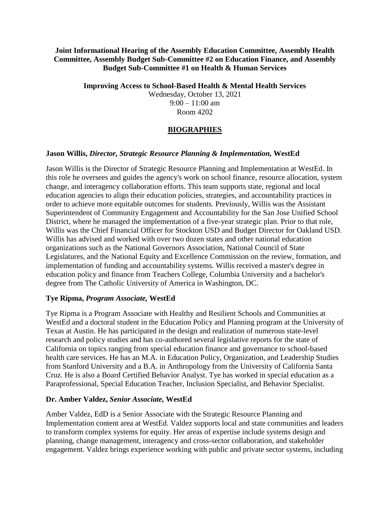#### **Joint Informational Hearing of the Assembly Education Committee, Assembly Health Committee, Assembly Budget Sub-Committee #2 on Education Finance, and Assembly Budget Sub-Committee #1 on Health & Human Services**

**Improving Access to School-Based Health & Mental Health Services**

Wednesday, October 13, 2021  $9:00 - 11:00$  am Room 4202

# **BIOGRAPHIES**

### **Jason Willis,** *Director, Strategic Resource Planning & Implementation,* **WestEd**

Jason Willis is the Director of Strategic Resource Planning and Implementation at WestEd. In this role he oversees and guides the agency's work on school finance, resource allocation, system change, and interagency collaboration efforts. This team supports state, regional and local education agencies to align their education policies, strategies, and accountability practices in order to achieve more equitable outcomes for students. Previously, Willis was the Assistant Superintendent of Community Engagement and Accountability for the San Jose Unified School District, where he managed the implementation of a five-year strategic plan. Prior to that role, Willis was the Chief Financial Officer for Stockton USD and Budget Director for Oakland USD. Willis has advised and worked with over two dozen states and other national education organizations such as the National Governors Association, National Council of State Legislatures, and the National Equity and Excellence Commission on the review, formation, and implementation of funding and accountability systems. Willis received a master's degree in education policy and finance from Teachers College, Columbia University and a bachelor's degree from The Catholic University of America in Washington, DC.

### **Tye Ripma,** *Program Associate,* **WestEd**

Tye Ripma is a Program Associate with Healthy and Resilient Schools and Communities at WestEd and a doctoral student in the Education Policy and Planning program at the University of Texas at Austin. He has participated in the design and realization of numerous state-level research and policy studies and has co-authored several legislative reports for the state of California on topics ranging from special education finance and governance to school-based health care services. He has an M.A. in Education Policy, Organization, and Leadership Studies from Stanford University and a B.A. in Anthropology from the University of California Santa Cruz. He is also a Board Certified Behavior Analyst. Tye has worked in special education as a Paraprofessional, Special Education Teacher, Inclusion Specialist, and Behavior Specialist.

### **Dr. Amber Valdez,** *Senior Associate,* **WestEd**

Amber Valdez, EdD is a Senior Associate with the Strategic Resource Planning and Implementation content area at WestEd. Valdez supports local and state communities and leaders to transform complex systems for equity. Her areas of expertise include systems design and planning, change management, interagency and cross-sector collaboration, and stakeholder engagement. Valdez brings experience working with public and private sector systems, including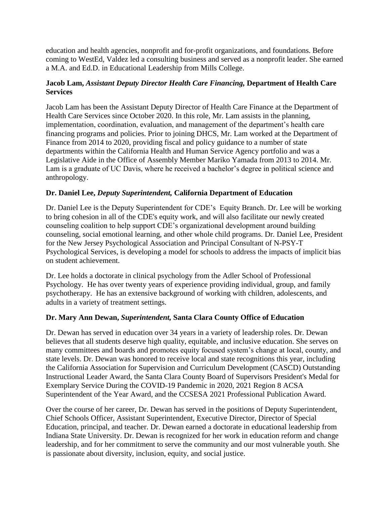education and health agencies, nonprofit and for-profit organizations, and foundations. Before coming to WestEd, Valdez led a consulting business and served as a nonprofit leader. She earned a M.A. and Ed.D. in Educational Leadership from Mills College.

## **Jacob Lam,** *Assistant Deputy Director Health Care Financing,* **Department of Health Care Services**

Jacob Lam has been the Assistant Deputy Director of Health Care Finance at the Department of Health Care Services since October 2020. In this role, Mr. Lam assists in the planning, implementation, coordination, evaluation, and management of the department's health care financing programs and policies. Prior to joining DHCS, Mr. Lam worked at the Department of Finance from 2014 to 2020, providing fiscal and policy guidance to a number of state departments within the California Health and Human Service Agency portfolio and was a Legislative Aide in the Office of Assembly Member Mariko Yamada from 2013 to 2014. Mr. Lam is a graduate of UC Davis, where he received a bachelor's degree in political science and anthropology.

# **Dr. Daniel Lee,** *Deputy Superintendent,* **California Department of Education**

Dr. Daniel Lee is the Deputy Superintendent for CDE's Equity Branch. Dr. Lee will be working to bring cohesion in all of the CDE's equity work, and will also facilitate our newly created counseling coalition to help support CDE's organizational development around building counseling, social emotional learning, and other whole child programs. Dr. Daniel Lee, President for the New Jersey Psychological Association and Principal Consultant of N-PSY-T Psychological Services, is developing a model for schools to address the impacts of implicit bias on student achievement.

Dr. Lee holds a doctorate in clinical psychology from the Adler School of Professional Psychology. He has over twenty years of experience providing individual, group, and family psychotherapy. He has an extensive background of working with children, adolescents, and adults in a variety of treatment settings.

### **Dr. Mary Ann Dewan,** *Superintendent,* **Santa Clara County Office of Education**

Dr. Dewan has served in education over 34 years in a variety of leadership roles. Dr. Dewan believes that all students deserve high quality, equitable, and inclusive education. She serves on many committees and boards and promotes equity focused system's change at local, county, and state levels. Dr. Dewan was honored to receive local and state recognitions this year, including the California Association for Supervision and Curriculum Development (CASCD) Outstanding Instructional Leader Award, the Santa Clara County Board of Supervisors President's Medal for Exemplary Service During the COVID-19 Pandemic in 2020, 2021 Region 8 ACSA Superintendent of the Year Award, and the CCSESA 2021 Professional Publication Award.

Over the course of her career, Dr. Dewan has served in the positions of Deputy Superintendent, Chief Schools Officer, Assistant Superintendent, Executive Director, Director of Special Education, principal, and teacher. Dr. Dewan earned a doctorate in educational leadership from Indiana State University. Dr. Dewan is recognized for her work in education reform and change leadership, and for her commitment to serve the community and our most vulnerable youth. She is passionate about diversity, inclusion, equity, and social justice.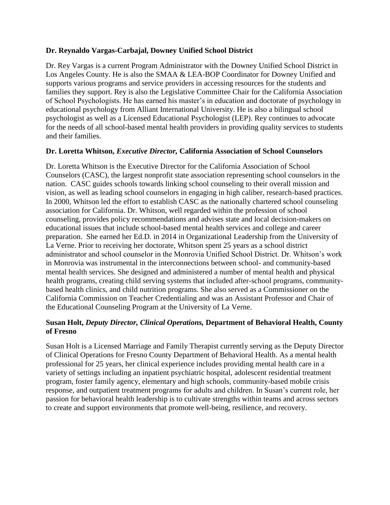### **Dr. Reynaldo Vargas-Carbajal, Downey Unified School District**

Dr. Rey Vargas is a current Program Administrator with the Downey Unified School District in Los Angeles County. He is also the SMAA & LEA-BOP Coordinator for Downey Unified and supports various programs and service providers in accessing resources for the students and families they support. Rey is also the Legislative Committee Chair for the California Association of School Psychologists. He has earned his master's in education and doctorate of psychology in educational psychology from Alliant International University. He is also a bilingual school psychologist as well as a Licensed Educational Psychologist (LEP). Rey continues to advocate for the needs of all school-based mental health providers in providing quality services to students and their families.

#### **Dr. Loretta Whitson,** *Executive Director,* **California Association of School Counselors**

Dr. Loretta Whitson is the Executive Director for the California Association of School Counselors (CASC), the largest nonprofit state association representing school counselors in the nation. CASC guides schools towards linking school counseling to their overall mission and vision, as well as leading school counselors in engaging in high caliber, research-based practices. In 2000, Whitson led the effort to establish CASC as the nationally chartered school counseling association for California. Dr. Whitson, well regarded within the profession of school counseling, provides policy recommendations and advises state and local decision-makers on educational issues that include school-based mental health services and college and career preparation. She earned her Ed.D. in 2014 in Organizational Leadership from the University of La Verne. Prior to receiving her doctorate, Whitson spent 25 years as a school district administrator and school counselor in the Monrovia Unified School District. Dr. Whitson's work in Monrovia was instrumental in the interconnections between school- and community-based mental health services. She designed and administered a number of mental health and physical health programs, creating child serving systems that included after-school programs, communitybased health clinics, and child nutrition programs. She also served as a Commissioner on the California Commission on Teacher Credentialing and was an Assistant Professor and Chair of the Educational Counseling Program at the University of La Verne.

### **Susan Holt,** *Deputy Director, Clinical Operations,* **Department of Behavioral Health, County of Fresno**

Susan Holt is a Licensed Marriage and Family Therapist currently serving as the Deputy Director of Clinical Operations for Fresno County Department of Behavioral Health. As a mental health professional for 25 years, her clinical experience includes providing mental health care in a variety of settings including an inpatient psychiatric hospital, adolescent residential treatment program, foster family agency, elementary and high schools, community-based mobile crisis response, and outpatient treatment programs for adults and children. In Susan's current role, her passion for behavioral health leadership is to cultivate strengths within teams and across sectors to create and support environments that promote well-being, resilience, and recovery.